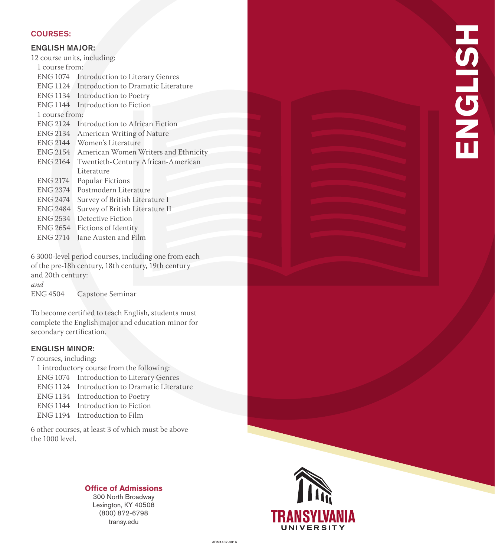#### COURSES:

### ENGLISH MAJOR:

12 course units, including: 1 course from: ENG 1074 Introduction to Literary Genres ENG 1124 Introduction to Dramatic Literature ENG 1134 Introduction to Poetry ENG 1144 Introduction to Fiction 1 course from: ENG 2124 Introduction to African Fiction ENG 2134 American Writing of Nature ENG 2144 Women's Literature ENG 2154 American Women Writers and Ethnicity ENG 2164 Twentieth-Century African-American Literature ENG 2174 Popular Fictions ENG 2374 Postmodern Literature ENG 2474 Survey of British Literature I ENG 2484 Survey of British Literature II ENG 2534 Detective Fiction ENG 2654 Fictions of Identity ENG 2714 Jane Austen and Film

6 3000-level period courses, including one from each of the pre-18h century, 18th century, 19th century and 20th century: *and*<br>ENG 4504

Capstone Seminar

To become certified to teach English, students must complete the English major and education minor for secondary certification.

### ENGLISH MINOR:

7 courses, including:

- 1 introductory course from the following: ENG 1074 Introduction to Literary Genres ENG 1124 Introduction to Dramatic Literature ENG 1134 Introduction to Poetry ENG 1144 Introduction to Fiction
- ENG 1194 Introduction to Film

6 other courses, at least 3 of which must be above the 1000 level.

# **Office of Admissions**

300 North Broadway Lexington, KY 40508 (800) 872-6798 transy.edu